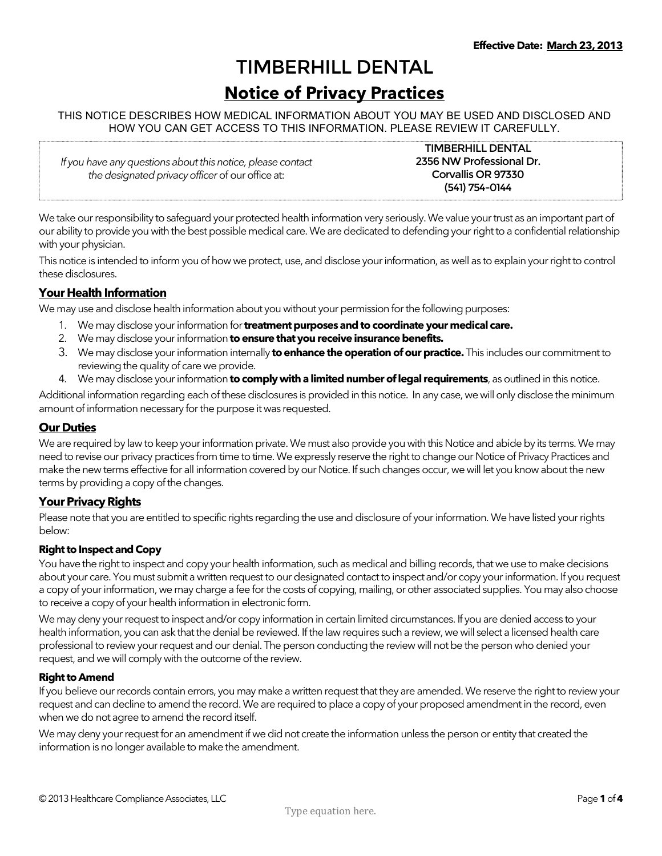# TIMBERHILL DENTAL Notice of Privacy Practices

## THIS NOTICE DESCRIBES HOW MEDICAL INFORMATION ABOUT YOU MAY BE USED AND DISCLOSED AND HOW YOU CAN GET ACCESS TO THIS INFORMATION. PLEASE REVIEW IT CAREFULLY.

If you have any questions about this notice, please contact the designated privacy officer of our office at:

TIMBERHILL DENTAL 2356 NW Professional Dr. Corvallis OR 97330 (541) 754-0144

We take our responsibility to safeguard your protected health information very seriously. We value your trust as an important part of our ability to provide you with the best possible medical care. We are dedicated to defending your right to a confidential relationship with your physician.

This notice is intended to inform you of how we protect, use, and disclose your information, as well as to explain your right to control these disclosures.

# Your Health Information

We may use and disclose health information about you without your permission for the following purposes:

- 1. We may disclose your information for **treatment purposes and to coordinate your medical care.**
- 2. We may disclose your information to ensure that you receive insurance benefits.
- 3. We may disclose your information internally to enhance the operation of our practice. This includes our commitment to reviewing the quality of care we provide.
- 4. We may disclose your information to comply with a limited number of legal requirements, as outlined in this notice.

Additional information regarding each of these disclosures is provided in this notice. In any case, we will only disclose the minimum amount of information necessary for the purpose it was requested.

## Our Duties

We are required by law to keep your information private. We must also provide you with this Notice and abide by its terms. We may need to revise our privacy practices from time to time. We expressly reserve the right to change our Notice of Privacy Practices and make the new terms effective for all information covered by our Notice. If such changes occur, we will let you know about the new terms by providing a copy of the changes.

# Your Privacy Rights

Please note that you are entitled to specific rights regarding the use and disclosure of your information. We have listed your rights below:

## Right to Inspect and Copy

You have the right to inspect and copy your health information, such as medical and billing records, that we use to make decisions about your care. You must submit a written request to our designated contact to inspect and/or copy your information. If you request a copy of your information, we may charge a fee for the costs of copying, mailing, or other associated supplies. You may also choose to receive a copy of your health information in electronic form.

We may deny your request to inspect and/or copy information in certain limited circumstances. If you are denied access to your health information, you can ask that the denial be reviewed. If the law requires such a review, we will select a licensed health care professional to review your request and our denial. The person conducting the review will not be the person who denied your request, and we will comply with the outcome of the review.

#### Right to Amend

If you believe our records contain errors, you may make a written request that they are amended. We reserve the right to review your request and can decline to amend the record. We are required to place a copy of your proposed amendment in the record, even when we do not agree to amend the record itself.

We may deny your request for an amendment if we did not create the information unless the person or entity that created the information is no longer available to make the amendment.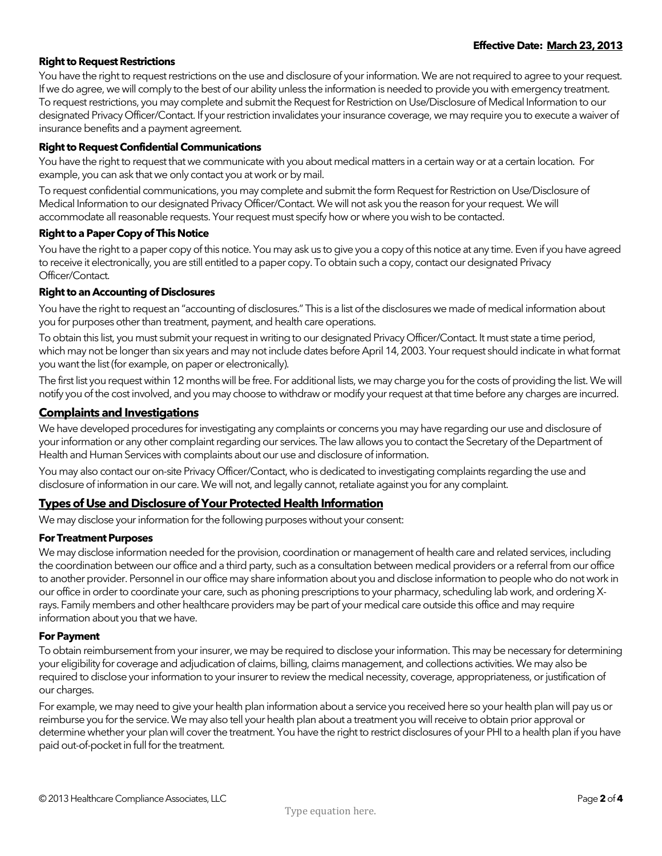## Right to Request Restrictions

You have the right to request restrictions on the use and disclosure of your information. We are not required to agree to your request. If we do agree, we will comply to the best of our ability unless the information is needed to provide you with emergency treatment. To request restrictions, you may complete and submit the Request for Restriction on Use/Disclosure of Medical Information to our designated Privacy Officer/Contact. If your restriction invalidates your insurance coverage, we may require you to execute a waiver of insurance benefits and a payment agreement.

#### Right to Request Confidential Communications

You have the right to request that we communicate with you about medical matters in a certain way or at a certain location. For example, you can ask that we only contact you at work or by mail.

To request confidential communications, you may complete and submit the form Request for Restriction on Use/Disclosure of Medical Information to our designated Privacy Officer/Contact. We will not ask you the reason for your request. We will accommodate all reasonable requests. Your request must specify how or where you wish to be contacted.

#### Right to a Paper Copy of This Notice

You have the right to a paper copy of this notice. You may ask us to give you a copy of this notice at any time. Even if you have agreed to receive it electronically, you are still entitled to a paper copy. To obtain such a copy, contact our designated Privacy Officer/Contact.

#### Right to an Accounting of Disclosures

You have the right to request an "accounting of disclosures." This is a list of the disclosures we made of medical information about you for purposes other than treatment, payment, and health care operations.

To obtain this list, you must submit your request in writing to our designated Privacy Officer/Contact. It must state a time period, which may not be longer than six years and may not include dates before April 14, 2003. Your request should indicate in what format you want the list (for example, on paper or electronically).

The first list you request within 12 months will be free. For additional lists, we may charge you for the costs of providing the list. We will notify you of the cost involved, and you may choose to withdraw or modify your request at that time before any charges are incurred.

## Complaints and Investigations

We have developed procedures for investigating any complaints or concerns you may have regarding our use and disclosure of your information or any other complaint regarding our services. The law allows you to contact the Secretary of the Department of Health and Human Services with complaints about our use and disclosure of information.

You may also contact our on-site Privacy Officer/Contact, who is dedicated to investigating complaints regarding the use and disclosure of information in our care. We will not, and legally cannot, retaliate against you for any complaint.

## Types of Use and Disclosure of Your Protected Health Information

We may disclose your information for the following purposes without your consent:

#### For Treatment Purposes

We may disclose information needed for the provision, coordination or management of health care and related services, including the coordination between our office and a third party, such as a consultation between medical providers or a referral from our office to another provider. Personnel in our office may share information about you and disclose information to people who do not work in our office in order to coordinate your care, such as phoning prescriptions to your pharmacy, scheduling lab work, and ordering Xrays. Family members and other healthcare providers may be part of your medical care outside this office and may require information about you that we have.

#### For Payment

To obtain reimbursement from your insurer, we may be required to disclose your information. This may be necessary for determining your eligibility for coverage and adjudication of claims, billing, claims management, and collections activities. We may also be required to disclose your information to your insurer to review the medical necessity, coverage, appropriateness, or justification of our charges.

For example, we may need to give your health plan information about a service you received here so your health plan will pay us or reimburse you for the service. We may also tell your health plan about a treatment you will receive to obtain prior approval or determine whether your plan will cover the treatment. You have the right to restrict disclosures of your PHI to a health plan if you have paid out-of-pocket in full for the treatment.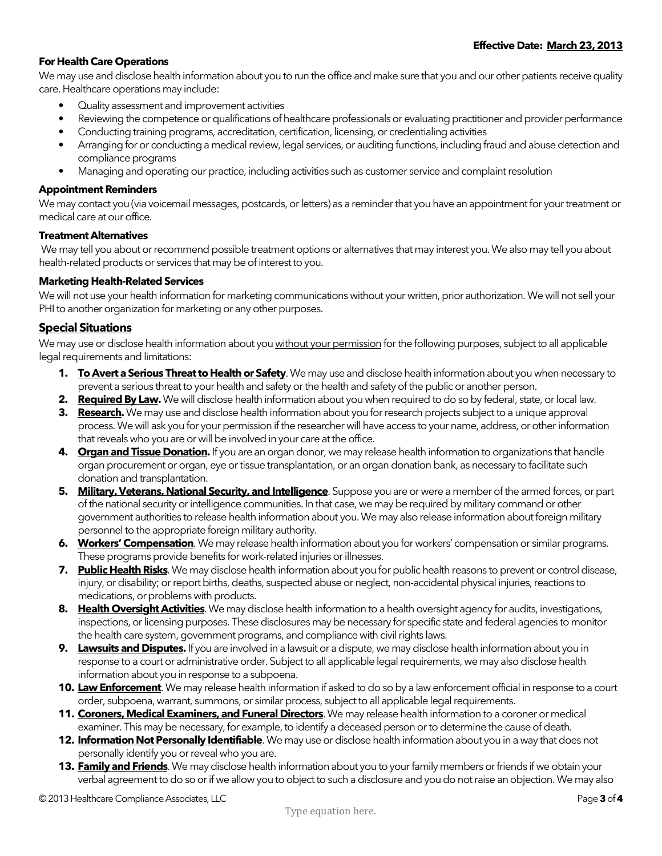## For Health Care Operations

We may use and disclose health information about you to run the office and make sure that you and our other patients receive quality care. Healthcare operations may include:

- Quality assessment and improvement activities
- Reviewing the competence or qualifications of healthcare professionals or evaluating practitioner and provider performance
- Conducting training programs, accreditation, certification, licensing, or credentialing activities
- Arranging for or conducting a medical review, legal services, or auditing functions, including fraud and abuse detection and compliance programs
- Managing and operating our practice, including activities such as customer service and complaint resolution

#### Appointment Reminders

We may contact you (via voicemail messages, postcards, or letters) as a reminder that you have an appointment for your treatment or medical care at our office.

#### Treatment Alternatives

 We may tell you about or recommend possible treatment options or alternatives that may interest you. We also may tell you about health-related products or services that may be of interest to you.

## Marketing Health-Related Services

We will not use your health information for marketing communications without your written, prior authorization. We will not sell your PHI to another organization for marketing or any other purposes.

## Special Situations

We may use or disclose health information about you without your permission for the following purposes, subject to all applicable legal requirements and limitations:

- 1. To Avert a Serious Threat to Health or Safety. We may use and disclose health information about you when necessary to prevent a serious threat to your health and safety or the health and safety of the public or another person.
- 2. Required By Law. We will disclose health information about you when required to do so by federal, state, or local law.
- 3. Research. We may use and disclose health information about you for research projects subject to a unique approval process. We will ask you for your permission if the researcher will have access to your name, address, or other information that reveals who you are or will be involved in your care at the office.
- 4. **Organ and Tissue Donation.** If you are an organ donor, we may release health information to organizations that handle organ procurement or organ, eye or tissue transplantation, or an organ donation bank, as necessary to facilitate such donation and transplantation.
- 5. Military, Veterans, National Security, and Intelligence. Suppose you are or were a member of the armed forces, or part of the national security or intelligence communities. In that case, we may be required by military command or other government authorities to release health information about you. We may also release information about foreign military personnel to the appropriate foreign military authority.
- 6. Workers' Compensation. We may release health information about you for workers' compensation or similar programs. These programs provide benefits for work-related injuries or illnesses.
- 7. Public Health Risks. We may disclose health information about you for public health reasons to prevent or control disease, injury, or disability; or report births, deaths, suspected abuse or neglect, non-accidental physical injuries, reactions to medications, or problems with products.
- 8. Health Oversight Activities. We may disclose health information to a health oversight agency for audits, investigations, inspections, or licensing purposes. These disclosures may be necessary for specific state and federal agencies to monitor the health care system, government programs, and compliance with civil rights laws.
- 9. Lawsuits and Disputes. If you are involved in a lawsuit or a dispute, we may disclose health information about you in response to a court or administrative order. Subject to all applicable legal requirements, we may also disclose health information about you in response to a subpoena.
- **10. Law Enforcement**. We may release health information if asked to do so by a law enforcement official in response to a court order, subpoena, warrant, summons, or similar process, subject to all applicable legal requirements.
- 11. Coroners, Medical Examiners, and Funeral Directors. We may release health information to a coroner or medical examiner. This may be necessary, for example, to identify a deceased person or to determine the cause of death.
- 12. Information Not Personally Identifiable. We may use or disclose health information about you in a way that does not personally identify you or reveal who you are.
- 13. Family and Friends. We may disclose health information about you to your family members or friends if we obtain your verbal agreement to do so or if we allow you to object to such a disclosure and you do not raise an objection. We may also